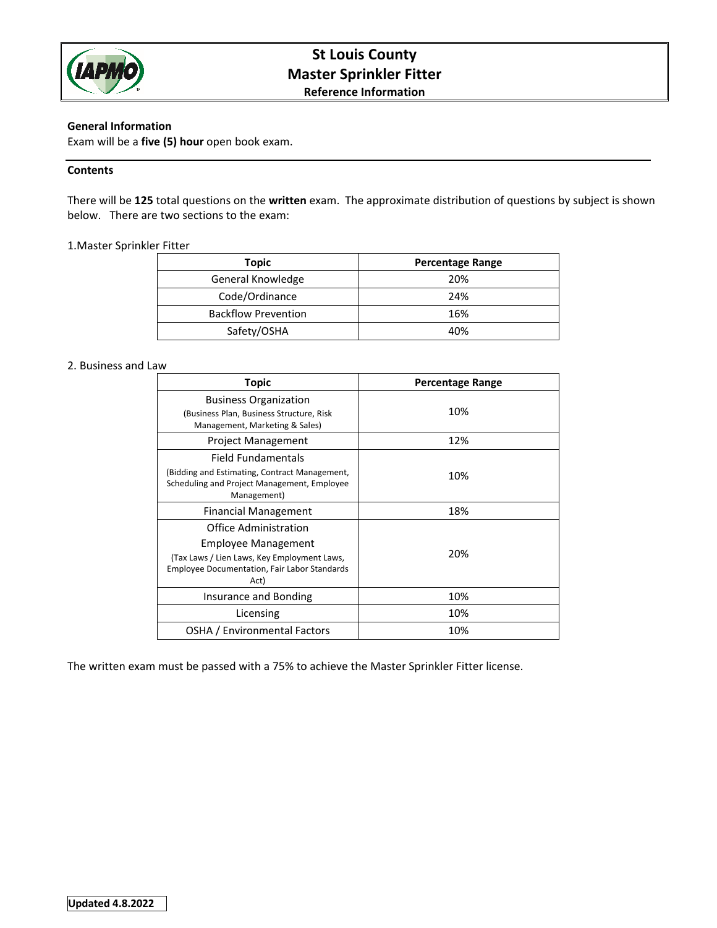

# **St Louis County Master Sprinkler Fitter Reference Information**

## **General Information**

Exam will be a **five (5) hour** open book exam.

## **Contents**

There will be **125** total questions on the **written** exam. The approximate distribution of questions by subject is shown below. There are two sections to the exam:

## 1.Master Sprinkler Fitter

| <b>Topic</b>               | <b>Percentage Range</b> |
|----------------------------|-------------------------|
| General Knowledge          | 20%                     |
| Code/Ordinance             | 24%                     |
| <b>Backflow Prevention</b> | 16%                     |
| Safety/OSHA                | 40%                     |

### 2. Business and Law

| <b>Topic</b>                                                                                                                                               | <b>Percentage Range</b> |
|------------------------------------------------------------------------------------------------------------------------------------------------------------|-------------------------|
| <b>Business Organization</b><br>(Business Plan, Business Structure, Risk<br>Management, Marketing & Sales)                                                 | 10%                     |
| <b>Project Management</b>                                                                                                                                  | 12%                     |
| Field Fundamentals<br>(Bidding and Estimating, Contract Management,<br>Scheduling and Project Management, Employee<br>Management)                          | 10%                     |
| Financial Management                                                                                                                                       | 18%                     |
| Office Administration<br>Employee Management<br>(Tax Laws / Lien Laws, Key Employment Laws,<br><b>Employee Documentation, Fair Labor Standards</b><br>Act) | 20%                     |
| Insurance and Bonding                                                                                                                                      | 10%                     |
| Licensing                                                                                                                                                  | 10%                     |
| OSHA / Environmental Factors                                                                                                                               | 10%                     |

The written exam must be passed with a 75% to achieve the Master Sprinkler Fitter license.